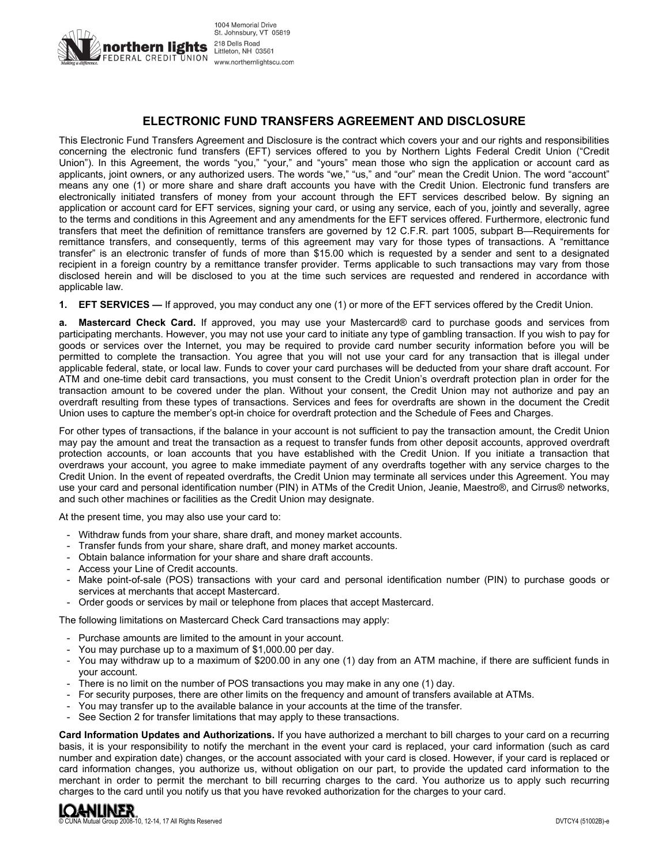

# 1004 Memorial Drive St. Johnsbury, VT 05819

### **ELECTRONIC FUND TRANSFERS AGREEMENT AND DISCLOSURE**

This Electronic Fund Transfers Agreement and Disclosure is the contract which covers your and our rights and responsibilities concerning the electronic fund transfers (EFT) services offered to you by Northern Lights Federal Credit Union ("Credit Union"). In this Agreement, the words "you," "your," and "yours" mean those who sign the application or account card as applicants, joint owners, or any authorized users. The words "we," "us," and "our" mean the Credit Union. The word "account" means any one (1) or more share and share draft accounts you have with the Credit Union. Electronic fund transfers are electronically initiated transfers of money from your account through the EFT services described below. By signing an application or account card for EFT services, signing your card, or using any service, each of you, jointly and severally, agree to the terms and conditions in this Agreement and any amendments for the EFT services offered. Furthermore, electronic fund transfers that meet the definition of remittance transfers are governed by 12 C.F.R. part 1005, subpart B—Requirements for remittance transfers, and consequently, terms of this agreement may vary for those types of transactions. A "remittance transfer" is an electronic transfer of funds of more than \$15.00 which is requested by a sender and sent to a designated recipient in a foreign country by a remittance transfer provider. Terms applicable to such transactions may vary from those disclosed herein and will be disclosed to you at the time such services are requested and rendered in accordance with applicable law.

**1. EFT SERVICES —** If approved, you may conduct any one (1) or more of the EFT services offered by the Credit Union.

**a. Mastercard Check Card.** If approved, you may use your Mastercard® card to purchase goods and services from participating merchants. However, you may not use your card to initiate any type of gambling transaction. If you wish to pay for goods or services over the Internet, you may be required to provide card number security information before you will be permitted to complete the transaction. You agree that you will not use your card for any transaction that is illegal under applicable federal, state, or local law. Funds to cover your card purchases will be deducted from your share draft account. For ATM and one-time debit card transactions, you must consent to the Credit Union's overdraft protection plan in order for the transaction amount to be covered under the plan. Without your consent, the Credit Union may not authorize and pay an overdraft resulting from these types of transactions. Services and fees for overdrafts are shown in the document the Credit Union uses to capture the member's opt-in choice for overdraft protection and the Schedule of Fees and Charges.

For other types of transactions, if the balance in your account is not sufficient to pay the transaction amount, the Credit Union may pay the amount and treat the transaction as a request to transfer funds from other deposit accounts, approved overdraft protection accounts, or loan accounts that you have established with the Credit Union. If you initiate a transaction that overdraws your account, you agree to make immediate payment of any overdrafts together with any service charges to the Credit Union. In the event of repeated overdrafts, the Credit Union may terminate all services under this Agreement. You may use your card and personal identification number (PIN) in ATMs of the Credit Union, Jeanie, Maestro®, and Cirrus® networks, and such other machines or facilities as the Credit Union may designate.

At the present time, you may also use your card to:

- Withdraw funds from your share, share draft, and money market accounts.
- Transfer funds from your share, share draft, and money market accounts.
- Obtain balance information for your share and share draft accounts.
- Access your Line of Credit accounts.
- Make point-of-sale (POS) transactions with your card and personal identification number (PIN) to purchase goods or services at merchants that accept Mastercard.
- Order goods or services by mail or telephone from places that accept Mastercard.

The following limitations on Mastercard Check Card transactions may apply:

- Purchase amounts are limited to the amount in your account.
- You may purchase up to a maximum of \$1,000.00 per day.
- You may withdraw up to a maximum of \$200.00 in any one (1) day from an ATM machine, if there are sufficient funds in your account.
- There is no limit on the number of POS transactions you may make in any one (1) day.
- For security purposes, there are other limits on the frequency and amount of transfers available at ATMs.
- You may transfer up to the available balance in your accounts at the time of the transfer.
- See Section 2 for transfer limitations that may apply to these transactions.

**Card Information Updates and Authorizations.** If you have authorized a merchant to bill charges to your card on a recurring basis, it is your responsibility to notify the merchant in the event your card is replaced, your card information (such as card number and expiration date) changes, or the account associated with your card is closed. However, if your card is replaced or card information changes, you authorize us, without obligation on our part, to provide the updated card information to the merchant in order to permit the merchant to bill recurring charges to the card. You authorize us to apply such recurring charges to the card until you notify us that you have revoked authorization for the charges to your card.

## **LOANLINER**

© CUNA Mutual Group 2008-10, 12-14, 17 All Rights Reserved DVTCY4 (51002B)-e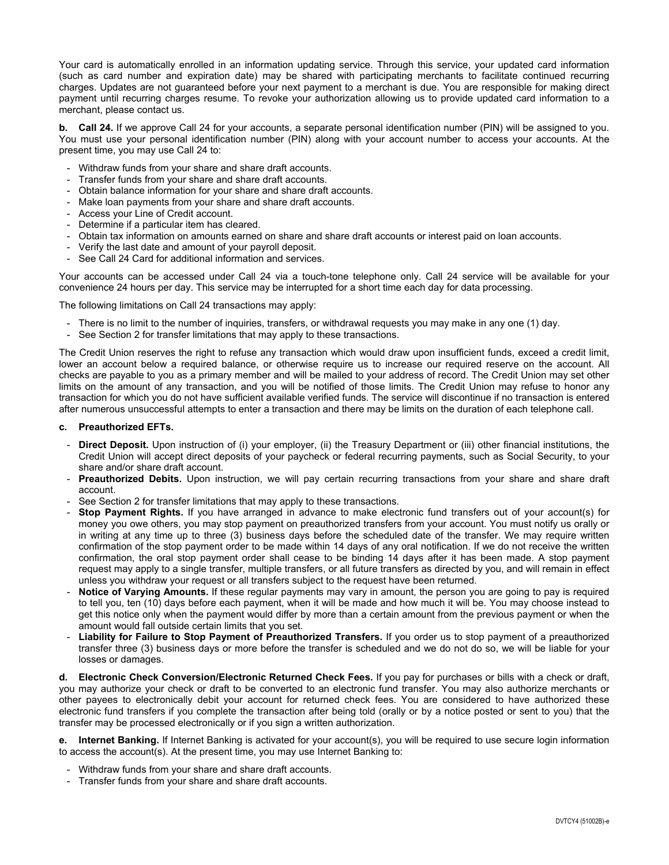Your card is automatically enrolled in an information updating service. Through this service, your updated card information (such as card number and expiration date) may be shared with participating merchants to facilitate continued recurring charges. Updates are not guaranteed before your next payment to a merchant is due. You are responsible for making direct payment until recurring charges resume. To revoke your authorization allowing us to provide updated card information to a merchant, please contact us.

**b. Call 24.** If we approve Call 24 for your accounts, a separate personal identification number (PIN) will be assigned to you. You must use your personal identification number (PIN) along with your account number to access your accounts. At the present time, you may use Call 24 to:

- Withdraw funds from your share and share draft accounts.
- Transfer funds from your share and share draft accounts.
- Obtain balance information for your share and share draft accounts.
- Make loan payments from your share and share draft accounts.
- Access your Line of Credit account.
- Determine if a particular item has cleared.
- Obtain tax information on amounts earned on share and share draft accounts or interest paid on loan accounts.
- Verify the last date and amount of your payroll deposit.
- See Call 24 Card for additional information and services.

Your accounts can be accessed under Call 24 via a touch-tone telephone only. Call 24 service will be available for your convenience 24 hours per day. This service may be interrupted for a short time each day for data processing.

The following limitations on Call 24 transactions may apply:

- There is no limit to the number of inquiries, transfers, or withdrawal requests you may make in any one (1) day.
- See Section 2 for transfer limitations that may apply to these transactions.

The Credit Union reserves the right to refuse any transaction which would draw upon insufficient funds, exceed a credit limit, lower an account below a required balance, or otherwise require us to increase our required reserve on the account. All checks are payable to you as a primary member and will be mailed to your address of record. The Credit Union may set other limits on the amount of any transaction, and you will be notified of those limits. The Credit Union may refuse to honor any transaction for which you do not have sufficient available verified funds. The service will discontinue if no transaction is entered after numerous unsuccessful attempts to enter a transaction and there may be limits on the duration of each telephone call.

#### **c. Preauthorized EFTs.**

- **Direct Deposit.** Upon instruction of (i) your employer, (ii) the Treasury Department or (iii) other financial institutions, the Credit Union will accept direct deposits of your paycheck or federal recurring payments, such as Social Security, to your share and/or share draft account.
- **Preauthorized Debits.** Upon instruction, we will pay certain recurring transactions from your share and share draft account.
- See Section 2 for transfer limitations that may apply to these transactions.
- **Stop Payment Rights.** If you have arranged in advance to make electronic fund transfers out of your account(s) for money you owe others, you may stop payment on preauthorized transfers from your account. You must notify us orally or in writing at any time up to three (3) business days before the scheduled date of the transfer. We may require written confirmation of the stop payment order to be made within 14 days of any oral notification. If we do not receive the written confirmation, the oral stop payment order shall cease to be binding 14 days after it has been made. A stop payment request may apply to a single transfer, multiple transfers, or all future transfers as directed by you, and will remain in effect unless you withdraw your request or all transfers subject to the request have been returned.
- **Notice of Varying Amounts.** If these regular payments may vary in amount, the person you are going to pay is required to tell you, ten (10) days before each payment, when it will be made and how much it will be. You may choose instead to get this notice only when the payment would differ by more than a certain amount from the previous payment or when the amount would fall outside certain limits that you set.
- **Liability for Failure to Stop Payment of Preauthorized Transfers.** If you order us to stop payment of a preauthorized transfer three (3) business days or more before the transfer is scheduled and we do not do so, we will be liable for your losses or damages.

**d. Electronic Check Conversion/Electronic Returned Check Fees.** If you pay for purchases or bills with a check or draft, you may authorize your check or draft to be converted to an electronic fund transfer. You may also authorize merchants or other payees to electronically debit your account for returned check fees. You are considered to have authorized these electronic fund transfers if you complete the transaction after being told (orally or by a notice posted or sent to you) that the transfer may be processed electronically or if you sign a written authorization.

**e. Internet Banking.** If Internet Banking is activated for your account(s), you will be required to use secure login information to access the account(s). At the present time, you may use Internet Banking to:

- Withdraw funds from your share and share draft accounts.
- Transfer funds from your share and share draft accounts.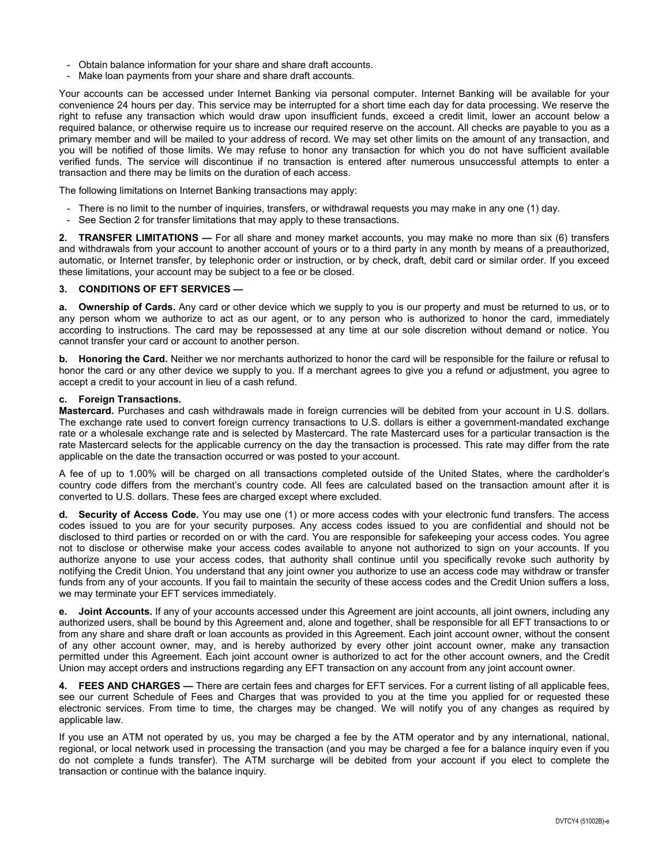- Obtain balance information for your share and share draft accounts.
- Make loan payments from your share and share draft accounts.

Your accounts can be accessed under Internet Banking via personal computer. Internet Banking will be available for your convenience 24 hours per day. This service may be interrupted for a short time each day for data processing. We reserve the right to refuse any transaction which would draw upon insufficient funds, exceed a credit limit, lower an account below a required balance, or otherwise require us to increase our required reserve on the account. All checks are payable to you as a primary member and will be mailed to your address of record. We may set other limits on the amount of any transaction, and you will be notified of those limits. We may refuse to honor any transaction for which you do not have sufficient available verified funds. The service will discontinue if no transaction is entered after numerous unsuccessful attempts to enter a transaction and there may be limits on the duration of each access.

The following limitations on Internet Banking transactions may apply:

- There is no limit to the number of inquiries, transfers, or withdrawal requests you may make in any one (1) day.
- See Section 2 for transfer limitations that may apply to these transactions.

**2. TRANSFER LIMITATIONS —** For all share and money market accounts, you may make no more than six (6) transfers and withdrawals from your account to another account of yours or to a third party in any month by means of a preauthorized, automatic, or Internet transfer, by telephonic order or instruction, or by check, draft, debit card or similar order. If you exceed these limitations, your account may be subject to a fee or be closed.

#### **3. CONDITIONS OF EFT SERVICES —**

**a. Ownership of Cards.** Any card or other device which we supply to you is our property and must be returned to us, or to any person whom we authorize to act as our agent, or to any person who is authorized to honor the card, immediately according to instructions. The card may be repossessed at any time at our sole discretion without demand or notice. You cannot transfer your card or account to another person.

**b. Honoring the Card.** Neither we nor merchants authorized to honor the card will be responsible for the failure or refusal to honor the card or any other device we supply to you. If a merchant agrees to give you a refund or adjustment, you agree to accept a credit to your account in lieu of a cash refund.

#### **c. Foreign Transactions.**

**Mastercard.** Purchases and cash withdrawals made in foreign currencies will be debited from your account in U.S. dollars. The exchange rate used to convert foreign currency transactions to U.S. dollars is either a government-mandated exchange rate or a wholesale exchange rate and is selected by Mastercard. The rate Mastercard uses for a particular transaction is the rate Mastercard selects for the applicable currency on the day the transaction is processed. This rate may differ from the rate applicable on the date the transaction occurred or was posted to your account.

A fee of up to 1.00% will be charged on all transactions completed outside of the United States, where the cardholder's country code differs from the merchant's country code. All fees are calculated based on the transaction amount after it is converted to U.S. dollars. These fees are charged except where excluded.

**d. Security of Access Code.** You may use one (1) or more access codes with your electronic fund transfers. The access codes issued to you are for your security purposes. Any access codes issued to you are confidential and should not be disclosed to third parties or recorded on or with the card. You are responsible for safekeeping your access codes. You agree not to disclose or otherwise make your access codes available to anyone not authorized to sign on your accounts. If you authorize anyone to use your access codes, that authority shall continue until you specifically revoke such authority by notifying the Credit Union. You understand that any joint owner you authorize to use an access code may withdraw or transfer funds from any of your accounts. If you fail to maintain the security of these access codes and the Credit Union suffers a loss, we may terminate your EFT services immediately.

**e. Joint Accounts.** If any of your accounts accessed under this Agreement are joint accounts, all joint owners, including any authorized users, shall be bound by this Agreement and, alone and together, shall be responsible for all EFT transactions to or from any share and share draft or loan accounts as provided in this Agreement. Each joint account owner, without the consent of any other account owner, may, and is hereby authorized by every other joint account owner, make any transaction permitted under this Agreement. Each joint account owner is authorized to act for the other account owners, and the Credit Union may accept orders and instructions regarding any EFT transaction on any account from any joint account owner.

**4. FEES AND CHARGES —** There are certain fees and charges for EFT services. For a current listing of all applicable fees, see our current Schedule of Fees and Charges that was provided to you at the time you applied for or requested these electronic services. From time to time, the charges may be changed. We will notify you of any changes as required by applicable law.

If you use an ATM not operated by us, you may be charged a fee by the ATM operator and by any international, national, regional, or local network used in processing the transaction (and you may be charged a fee for a balance inquiry even if you do not complete a funds transfer). The ATM surcharge will be debited from your account if you elect to complete the transaction or continue with the balance inquiry.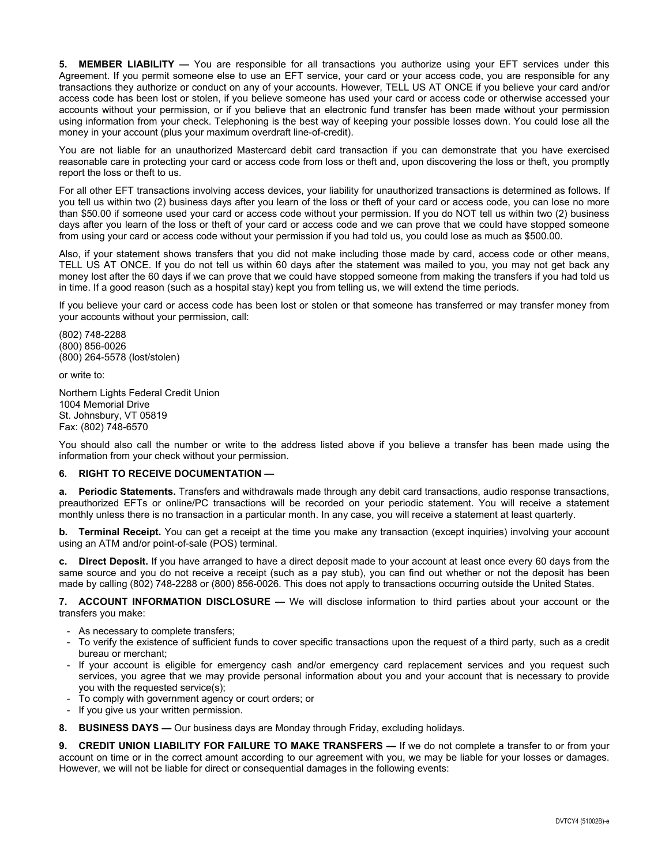**5. MEMBER LIABILITY —** You are responsible for all transactions you authorize using your EFT services under this Agreement. If you permit someone else to use an EFT service, your card or your access code, you are responsible for any transactions they authorize or conduct on any of your accounts. However, TELL US AT ONCE if you believe your card and/or access code has been lost or stolen, if you believe someone has used your card or access code or otherwise accessed your accounts without your permission, or if you believe that an electronic fund transfer has been made without your permission using information from your check. Telephoning is the best way of keeping your possible losses down. You could lose all the money in your account (plus your maximum overdraft line-of-credit).

You are not liable for an unauthorized Mastercard debit card transaction if you can demonstrate that you have exercised reasonable care in protecting your card or access code from loss or theft and, upon discovering the loss or theft, you promptly report the loss or theft to us.

For all other EFT transactions involving access devices, your liability for unauthorized transactions is determined as follows. If you tell us within two (2) business days after you learn of the loss or theft of your card or access code, you can lose no more than \$50.00 if someone used your card or access code without your permission. If you do NOT tell us within two (2) business days after you learn of the loss or theft of your card or access code and we can prove that we could have stopped someone from using your card or access code without your permission if you had told us, you could lose as much as \$500.00.

Also, if your statement shows transfers that you did not make including those made by card, access code or other means, TELL US AT ONCE. If you do not tell us within 60 days after the statement was mailed to you, you may not get back any money lost after the 60 days if we can prove that we could have stopped someone from making the transfers if you had told us in time. If a good reason (such as a hospital stay) kept you from telling us, we will extend the time periods.

If you believe your card or access code has been lost or stolen or that someone has transferred or may transfer money from your accounts without your permission, call:

(802) 748-2288 (800) 856-0026 (800) 264-5578 (lost/stolen)

or write to:

Northern Lights Federal Credit Union 1004 Memorial Drive St. Johnsbury, VT 05819 Fax: (802) 748-6570

You should also call the number or write to the address listed above if you believe a transfer has been made using the information from your check without your permission.

#### **6. RIGHT TO RECEIVE DOCUMENTATION —**

**a. Periodic Statements.** Transfers and withdrawals made through any debit card transactions, audio response transactions, preauthorized EFTs or online/PC transactions will be recorded on your periodic statement. You will receive a statement monthly unless there is no transaction in a particular month. In any case, you will receive a statement at least quarterly.

**b. Terminal Receipt.** You can get a receipt at the time you make any transaction (except inquiries) involving your account using an ATM and/or point-of-sale (POS) terminal.

**c. Direct Deposit.** If you have arranged to have a direct deposit made to your account at least once every 60 days from the same source and you do not receive a receipt (such as a pay stub), you can find out whether or not the deposit has been made by calling (802) 748-2288 or (800) 856-0026. This does not apply to transactions occurring outside the United States.

**7. ACCOUNT INFORMATION DISCLOSURE —** We will disclose information to third parties about your account or the transfers you make:

- As necessary to complete transfers;
- To verify the existence of sufficient funds to cover specific transactions upon the request of a third party, such as a credit bureau or merchant;
- If your account is eligible for emergency cash and/or emergency card replacement services and you request such services, you agree that we may provide personal information about you and your account that is necessary to provide you with the requested service(s);
- To comply with government agency or court orders; or
- If you give us your written permission.
- **8. BUSINESS DAYS —** Our business days are Monday through Friday, excluding holidays.

**9. CREDIT UNION LIABILITY FOR FAILURE TO MAKE TRANSFERS —** If we do not complete a transfer to or from your account on time or in the correct amount according to our agreement with you, we may be liable for your losses or damages. However, we will not be liable for direct or consequential damages in the following events: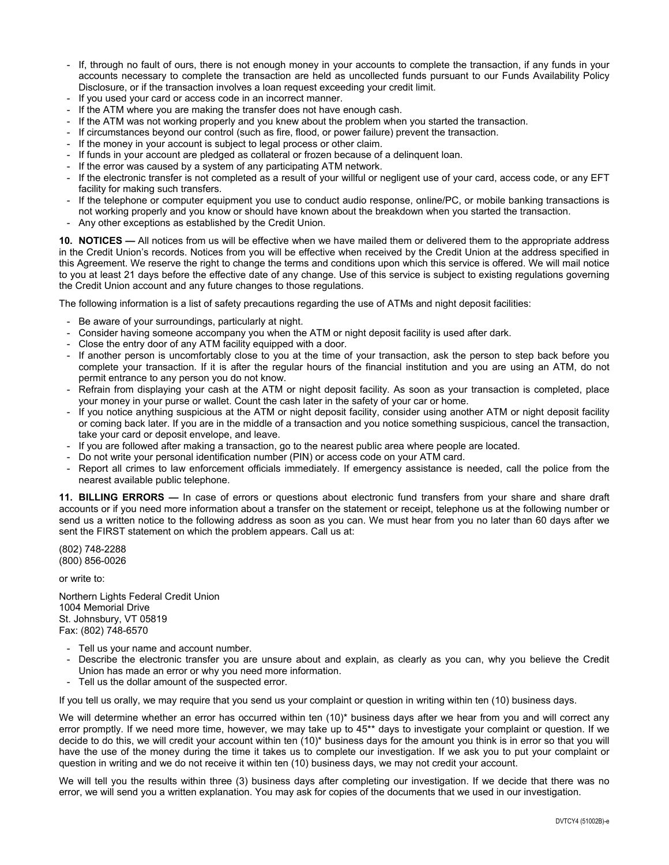- If, through no fault of ours, there is not enough money in your accounts to complete the transaction, if any funds in your accounts necessary to complete the transaction are held as uncollected funds pursuant to our Funds Availability Policy Disclosure, or if the transaction involves a loan request exceeding your credit limit.
- If you used your card or access code in an incorrect manner.
- If the ATM where you are making the transfer does not have enough cash.
- If the ATM was not working properly and you knew about the problem when you started the transaction.
- If circumstances beyond our control (such as fire, flood, or power failure) prevent the transaction.
- If the money in your account is subject to legal process or other claim.
- If funds in your account are pledged as collateral or frozen because of a delinquent loan.
- If the error was caused by a system of any participating ATM network.
- If the electronic transfer is not completed as a result of your willful or negligent use of your card, access code, or any EFT facility for making such transfers.
- If the telephone or computer equipment you use to conduct audio response, online/PC, or mobile banking transactions is not working properly and you know or should have known about the breakdown when you started the transaction.
- Any other exceptions as established by the Credit Union.

**10. NOTICES —** All notices from us will be effective when we have mailed them or delivered them to the appropriate address in the Credit Union's records. Notices from you will be effective when received by the Credit Union at the address specified in this Agreement. We reserve the right to change the terms and conditions upon which this service is offered. We will mail notice to you at least 21 days before the effective date of any change. Use of this service is subject to existing regulations governing the Credit Union account and any future changes to those regulations.

The following information is a list of safety precautions regarding the use of ATMs and night deposit facilities:

- Be aware of your surroundings, particularly at night.
- Consider having someone accompany you when the ATM or night deposit facility is used after dark.
- Close the entry door of any ATM facility equipped with a door.
- If another person is uncomfortably close to you at the time of your transaction, ask the person to step back before you complete your transaction. If it is after the regular hours of the financial institution and you are using an ATM, do not permit entrance to any person you do not know.
- Refrain from displaying your cash at the ATM or night deposit facility. As soon as your transaction is completed, place your money in your purse or wallet. Count the cash later in the safety of your car or home.
- If you notice anything suspicious at the ATM or night deposit facility, consider using another ATM or night deposit facility or coming back later. If you are in the middle of a transaction and you notice something suspicious, cancel the transaction, take your card or deposit envelope, and leave.
- If you are followed after making a transaction, go to the nearest public area where people are located.
- Do not write your personal identification number (PIN) or access code on your ATM card.
- Report all crimes to law enforcement officials immediately. If emergency assistance is needed, call the police from the nearest available public telephone.

**11. BILLING ERRORS —** In case of errors or questions about electronic fund transfers from your share and share draft accounts or if you need more information about a transfer on the statement or receipt, telephone us at the following number or send us a written notice to the following address as soon as you can. We must hear from you no later than 60 days after we sent the FIRST statement on which the problem appears. Call us at:

(802) 748-2288 (800) 856-0026

or write to:

Northern Lights Federal Credit Union 1004 Memorial Drive St. Johnsbury, VT 05819 Fax: (802) 748-6570

- Tell us your name and account number.
- Describe the electronic transfer you are unsure about and explain, as clearly as you can, why you believe the Credit Union has made an error or why you need more information.
- Tell us the dollar amount of the suspected error.

If you tell us orally, we may require that you send us your complaint or question in writing within ten (10) business days.

We will determine whether an error has occurred within ten (10)\* business days after we hear from you and will correct any error promptly. If we need more time, however, we may take up to 45\*\* days to investigate your complaint or question. If we decide to do this, we will credit your account within ten (10)\* business days for the amount you think is in error so that you will have the use of the money during the time it takes us to complete our investigation. If we ask you to put your complaint or question in writing and we do not receive it within ten (10) business days, we may not credit your account.

We will tell you the results within three (3) business days after completing our investigation. If we decide that there was no error, we will send you a written explanation. You may ask for copies of the documents that we used in our investigation.